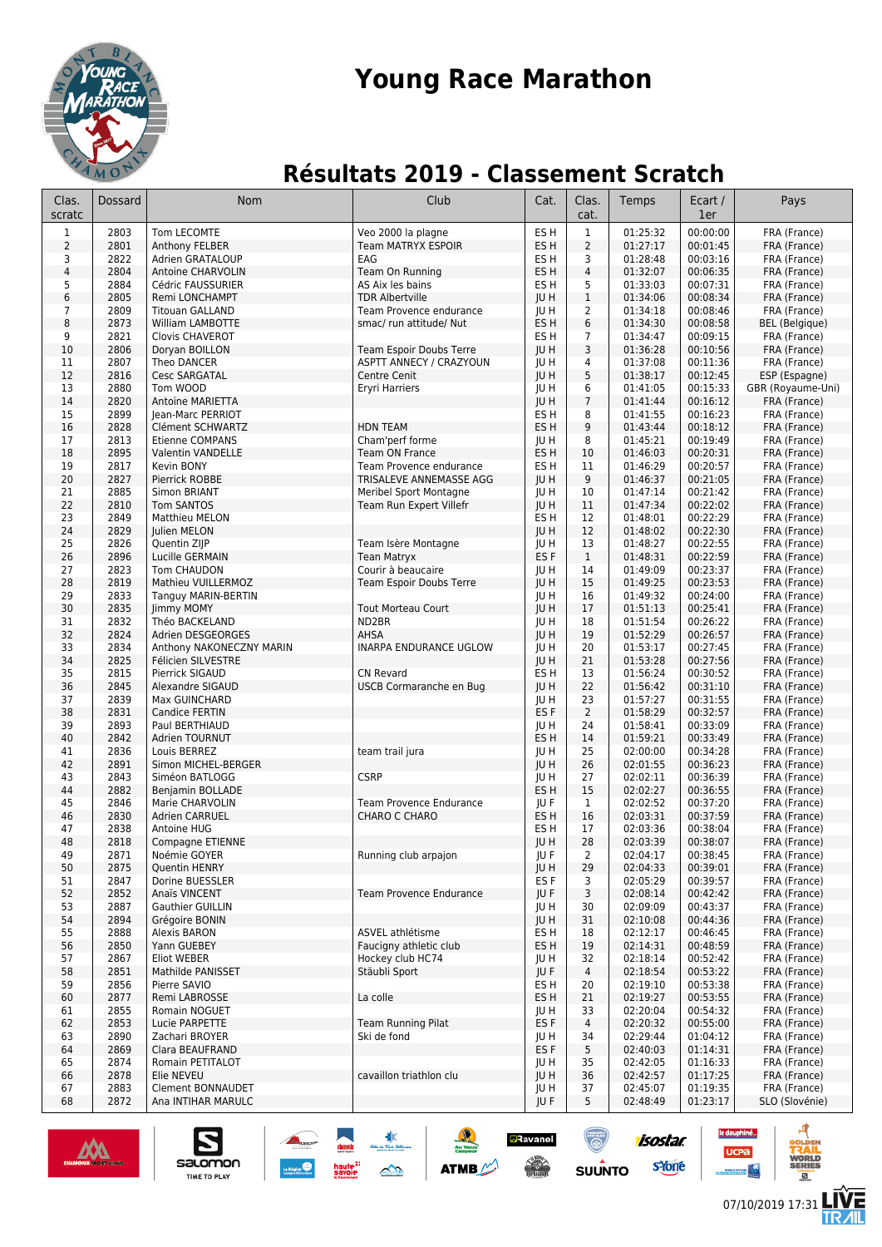

## **Young Race Marathon**

## **Résultats 2019 - Classement Scratch**

| Clas.<br>scratc | Dossard      | <b>Nom</b>                               | Club                                              | Cat.                    | Clas.<br>cat.        | Temps                | Ecart /<br>1er       | Pays                              |
|-----------------|--------------|------------------------------------------|---------------------------------------------------|-------------------------|----------------------|----------------------|----------------------|-----------------------------------|
| $\mathbf{1}$    | 2803         | Tom LECOMTE                              | Veo 2000 la plagne                                | ES H                    | $\mathbf{1}$         | 01:25:32             | 00:00:00             | FRA (France)                      |
| 2               | 2801         | Anthony FELBER                           | <b>Team MATRYX ESPOIR</b>                         | ES H                    | $\overline{2}$       | 01:27:17             | 00:01:45             | FRA (France)                      |
| 3               | 2822         | Adrien GRATALOUP                         | EAG                                               | ES H                    | 3                    | 01:28:48             | 00:03:16             | FRA (France)                      |
| 4               | 2804         | Antoine CHARVOLIN                        | Team On Running                                   | ES <sub>H</sub>         | $\sqrt{4}$           | 01:32:07             | 00:06:35             | FRA (France)                      |
| 5<br>6          | 2884         | Cédric FAUSSURIER                        | AS Aix les bains                                  | ES <sub>H</sub>         | 5<br>$\mathbf{1}$    | 01:33:03             | 00:07:31             | FRA (France)                      |
| 7               | 2805<br>2809 | Remi LONCHAMPT<br><b>Titouan GALLAND</b> | <b>TDR Albertville</b><br>Team Provence endurance | <b>IUH</b><br>JU H      | $\overline{2}$       | 01:34:06<br>01:34:18 | 00:08:34<br>00:08:46 | FRA (France)<br>FRA (France)      |
| 8               | 2873         | William LAMBOTTE                         | smac/ run attitude/ Nut                           | ES H                    | 6                    | 01:34:30             | 00:08:58             | <b>BEL</b> (Belgique)             |
| 9               | 2821         | Clovis CHAVEROT                          |                                                   | ES H                    | $\overline{7}$       | 01:34:47             | 00:09:15             | FRA (France)                      |
| 10              | 2806         | Doryan BOILLON                           | Team Espoir Doubs Terre                           | <b>IUH</b>              | 3                    | 01:36:28             | 00:10:56             | FRA (France)                      |
| 11              | 2807         | Theo DANCER                              | <b>ASPTT ANNECY / CRAZYOUN</b>                    | <b>IUH</b>              | 4                    | 01:37:08             | 00:11:36             | FRA (France)                      |
| 12              | 2816         | <b>Cesc SARGATAL</b>                     | Centre Cenit                                      | JU H                    | 5                    | 01:38:17             | 00:12:45             | ESP (Espagne)                     |
| 13<br>14        | 2880<br>2820 | Tom WOOD                                 | Eryri Harriers                                    | JU H                    | 6<br>$\overline{7}$  | 01:41:05<br>01:41:44 | 00:15:33<br>00:16:12 | GBR (Royaume-Uni)<br>FRA (France) |
| 15              | 2899         | Antoine MARIETTA<br>Jean-Marc PERRIOT    |                                                   | JU H<br>ES H            | 8                    | 01:41:55             | 00:16:23             | FRA (France)                      |
| 16              | 2828         | Clément SCHWARTZ                         | <b>HDN TEAM</b>                                   | ES H                    | 9                    | 01:43:44             | 00:18:12             | FRA (France)                      |
| 17              | 2813         | <b>Etienne COMPANS</b>                   | Cham'perf forme                                   | IU H                    | 8                    | 01:45:21             | 00:19:49             | FRA (France)                      |
| 18              | 2895         | Valentin VANDELLE                        | Team ON France                                    | ES <sub>H</sub>         | 10                   | 01:46:03             | 00:20:31             | FRA (France)                      |
| 19              | 2817         | Kevin BONY                               | Team Provence endurance                           | ES H                    | 11                   | 01:46:29             | 00:20:57             | FRA (France)                      |
| 20              | 2827         | Pierrick ROBBE                           | TRISALEVE ANNEMASSE AGG                           | <b>JU H</b>             | 9                    | 01:46:37             | 00:21:05             | FRA (France)                      |
| 21              | 2885         | Simon BRIANT                             | Meribel Sport Montagne                            | JU H                    | 10                   | 01:47:14             | 00:21:42             | FRA (France)                      |
| 22<br>23        | 2810<br>2849 | <b>Tom SANTOS</b><br>Matthieu MELON      | Team Run Expert Villefr                           | <b>IUH</b><br>ES H      | 11<br>12             | 01:47:34<br>01:48:01 | 00:22:02<br>00:22:29 | FRA (France)<br>FRA (France)      |
| 24              | 2829         | Julien MELON                             |                                                   | JU H                    | 12                   | 01:48:02             | 00:22:30             | FRA (France)                      |
| 25              | 2826         | Quentin ZIJP                             | Team Isère Montagne                               | <b>IUH</b>              | 13                   | 01:48:27             | 00:22:55             | FRA (France)                      |
| 26              | 2896         | Lucille GERMAIN                          | <b>Tean Matryx</b>                                | ES <sub>F</sub>         | $\mathbf{1}$         | 01:48:31             | 00:22:59             | FRA (France)                      |
| 27              | 2823         | Tom CHAUDON                              | Courir à beaucaire                                | IU H                    | 14                   | 01:49:09             | 00:23:37             | FRA (France)                      |
| 28              | 2819         | Mathieu VUILLERMOZ                       | Team Espoir Doubs Terre                           | JU H                    | 15                   | 01:49:25             | 00:23:53             | FRA (France)                      |
| 29              | 2833         | Tanguy MARIN-BERTIN                      |                                                   | <b>JUH</b>              | 16                   | 01:49:32             | 00:24:00             | FRA (France)                      |
| 30<br>31        | 2835<br>2832 | Jimmy MOMY<br>Théo BACKELAND             | <b>Tout Morteau Court</b><br>ND2BR                | JU H<br><b>JUH</b>      | 17<br>18             | 01:51:13<br>01:51:54 | 00:25:41<br>00:26:22 | FRA (France)<br>FRA (France)      |
| 32              | 2824         | Adrien DESGEORGES                        | AHSA                                              | JU H                    | 19                   | 01:52:29             | 00:26:57             | FRA (France)                      |
| 33              | 2834         | Anthony NAKONECZNY MARIN                 | INARPA ENDURANCE UGLOW                            | <b>JU H</b>             | 20                   | 01:53:17             | 00:27:45             | FRA (France)                      |
| 34              | 2825         | Félicien SILVESTRE                       |                                                   | JU H                    | 21                   | 01:53:28             | 00:27:56             | FRA (France)                      |
| 35              | 2815         | Pierrick SIGAUD                          | <b>CN Revard</b>                                  | ES H                    | 13                   | 01:56:24             | 00:30:52             | FRA (France)                      |
| 36              | 2845         | Alexandre SIGAUD                         | USCB Cormaranche en Bug                           | <b>IUH</b>              | 22                   | 01:56:42             | 00:31:10             | FRA (France)                      |
| 37              | 2839         | Max GUINCHARD                            |                                                   | JU H                    | 23                   | 01:57:27             | 00:31:55             | FRA (France)                      |
| 38<br>39        | 2831<br>2893 | Candice FERTIN<br>Paul BERTHIAUD         |                                                   | ES <sub>F</sub><br>JU H | $\overline{2}$<br>24 | 01:58:29<br>01:58:41 | 00:32:57<br>00:33:09 | FRA (France)<br>FRA (France)      |
| 40              | 2842         | Adrien TOURNUT                           |                                                   | ES H                    | 14                   | 01:59:21             | 00:33:49             | FRA (France)                      |
| 41              | 2836         | Louis BERREZ                             | team trail jura                                   | JU H                    | 25                   | 02:00:00             | 00:34:28             | FRA (France)                      |
| 42              | 2891         | Simon MICHEL-BERGER                      |                                                   | <b>IUH</b>              | 26                   | 02:01:55             | 00:36:23             | FRA (France)                      |
| 43              | 2843         | Siméon BATLOGG                           | <b>CSRP</b>                                       | JU H                    | 27                   | 02:02:11             | 00:36:39             | FRA (France)                      |
| 44              | 2882         | Benjamin BOLLADE                         |                                                   | ES H                    | 15                   | 02:02:27             | 00:36:55             | FRA (France)                      |
| 45              | 2846         | Marie CHARVOLIN                          | <b>Team Provence Endurance</b>                    | JU F                    | $\mathbf{1}$         | 02:02:52             | 00:37:20             | FRA (France)                      |
| 46<br>47        | 2830<br>2838 | Adrien CARRUEL<br>Antoine HUG            | CHARO C CHARO                                     | ES <sub>H</sub><br>ES H | 16<br>17             | 02:03:31<br>02:03:36 | 00:37:59<br>00:38:04 | FRA (France)<br>FRA (France)      |
| 48              | 2818         | Compagne ETIENNE                         |                                                   | JU H                    | 28                   | 02:03:39             | 00:38:07             | FRA (France)                      |
| 49              | 2871         | Noémie GOYER                             | Running club arpajon                              | JU F                    | $\overline{2}$       | 02:04:17             | 00:38:45             | FRA (France)                      |
| 50              | 2875         | Quentin HENRY                            |                                                   | JU H                    | 29                   | 02:04:33             | 00:39:01             | FRA (France)                      |
| 51              | 2847         | Dorine BUESSLER                          |                                                   | ES <sub>F</sub>         | 3                    | 02:05:29             | 00:39:57             | FRA (France)                      |
| 52              | 2852         | Anaïs VINCENT                            | Team Provence Endurance                           | JU F                    | 3                    | 02:08:14             | 00:42:42             | FRA (France)                      |
| 53              | 2887         | Gauthier GUILLIN                         |                                                   | JU H                    | 30                   | 02:09:09             | 00:43:37             | FRA (France)                      |
| 54<br>55        | 2894<br>2888 | Grégoire BONIN<br>Alexis BARON           | ASVEL athlétisme                                  | JU H<br>ES H            | 31<br>18             | 02:10:08<br>02:12:17 | 00:44:36<br>00:46:45 | FRA (France)<br>FRA (France)      |
| 56              | 2850         | Yann GUEBEY                              | Faucigny athletic club                            | ES <sub>H</sub>         | 19                   | 02:14:31             | 00:48:59             | FRA (France)                      |
| 57              | 2867         | Eliot WEBER                              | Hockey club HC74                                  | JU H                    | 32                   | 02:18:14             | 00:52:42             | FRA (France)                      |
| 58              | 2851         | Mathilde PANISSET                        | Stäubli Sport                                     | JU F                    | 4                    | 02:18:54             | 00:53:22             | FRA (France)                      |
| 59              | 2856         | Pierre SAVIO                             |                                                   | ES H                    | 20                   | 02:19:10             | 00:53:38             | FRA (France)                      |
| 60              | 2877         | Remi LABROSSE                            | La colle                                          | ES H                    | 21                   | 02:19:27             | 00:53:55             | FRA (France)                      |
| 61              | 2855         | Romain NOGUET                            |                                                   | JU H                    | 33                   | 02:20:04             | 00:54:32             | FRA (France)                      |
| 62<br>63        | 2853<br>2890 | Lucie PARPETTE<br>Zachari BROYER         | Team Running Pilat<br>Ski de fond                 | ES F<br>JU H            | 4<br>34              | 02:20:32<br>02:29:44 | 00:55:00<br>01:04:12 | FRA (France)<br>FRA (France)      |
| 64              | 2869         | Clara BEAUFRAND                          |                                                   | ES <sub>F</sub>         | 5                    | 02:40:03             | 01:14:31             | FRA (France)                      |
| 65              | 2874         | Romain PETITALOT                         |                                                   | JU H                    | 35                   | 02:42:05             | 01:16:33             | FRA (France)                      |
| 66              | 2878         | Elie NEVEU                               | cavaillon triathlon clu                           | JU H                    | 36                   | 02:42:57             | 01:17:25             | FRA (France)                      |
| 67              | 2883         | <b>Clement BONNAUDET</b>                 |                                                   | JU H                    | 37                   | 02:45:07             | 01:19:35             | FRA (France)                      |
| 68              | 2872         | Ana INTIHAR MARULC                       |                                                   | JU F                    | 5                    | 02:48:49             | 01:23:17             | SLO (Slovénie)                    |



satomon

TIME TO PLAY

**isostar** 

syone

**SUUNTO** 

Ravan

**ATMB** 

 $\triangle$